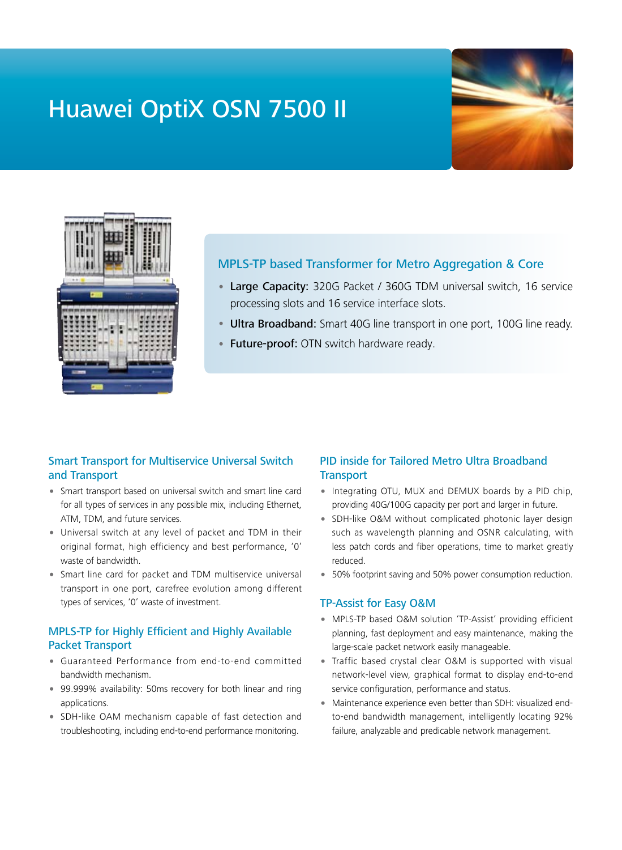# Huawei OptiX OSN 7500 II





### MPLS-TP based Transformer for Metro Aggregation & Core

- Large Capacity: 320G Packet / 360G TDM universal switch, 16 service processing slots and 16 service interface slots.
- Ultra Broadband: Smart 40G line transport in one port, 100G line ready.
- Future-proof: OTN switch hardware ready.

#### Smart Transport for Multiservice Universal Switch and Transport

- Smart transport based on universal switch and smart line card for all types of services in any possible mix, including Ethernet, ATM, TDM, and future services.
- Universal switch at any level of packet and TDM in their original format, high efficiency and best performance, '0' waste of bandwidth.
- Smart line card for packet and TDM multiservice universal transport in one port, carefree evolution among different types of services, '0' waste of investment.

## MPLS-TP for Highly Efficient and Highly Available Packet Transport

- Guaranteed Performance from end-to-end committed bandwidth mechanism.
- 99.999% availability: 50ms recovery for both linear and ring applications.
- SDH-like OAM mechanism capable of fast detection and troubleshooting, including end-to-end performance monitoring.

## PID inside for Tailored Metro Ultra Broadband **Transport**

- Integrating OTU, MUX and DEMUX boards by a PID chip, providing 40G/100G capacity per port and larger in future.
- SDH-like O&M without complicated photonic layer design such as wavelength planning and OSNR calculating, with less patch cords and fiber operations, time to market greatly reduced.
- 50% footprint saving and 50% power consumption reduction.

#### TP-Assist for Easy O&M

- MPLS-TP based O&M solution 'TP-Assist' providing efficient planning, fast deployment and easy maintenance, making the large-scale packet network easily manageable.
- Traffic based crystal clear O&M is supported with visual network-level view, graphical format to display end-to-end service configuration, performance and status.
- Maintenance experience even better than SDH: visualized endto-end bandwidth management, intelligently locating 92% failure, analyzable and predicable network management.